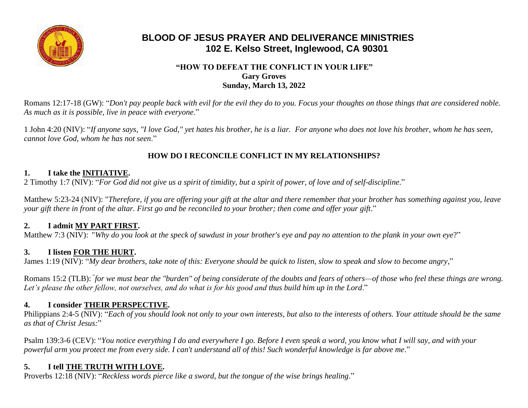

# **BLOOD OF JESUS PRAYER AND DELIVERANCE MINISTRIES 102 E. Kelso Street, Inglewood, CA 90301**

#### **"HOW TO DEFEAT THE CONFLICT IN YOUR LIFE" Gary Groves Sunday, March 13, 2022**

Romans 12:17-18 (GW): "*Don't pay people back with evil for the evil they do to you. Focus your thoughts on those things that are considered noble. As much as it is possible, live in peace with everyone*."

1 John 4:20 (NIV): "*If anyone says, "I love God," yet hates his brother, he is a liar. For anyone who does not love his brother, whom he has seen, cannot love God, whom he has not seen*."

## **HOW DO I RECONCILE CONFLICT IN MY RELATIONSHIPS?**

### **1. I take the INITIATIVE.**

2 Timothy 1:7 (NIV): "*For God did not give us a spirit of timidity, but a spirit of power, of love and of self-discipline*."

Matthew 5:23-24 (NIV): "*Therefore, if you are offering your gift at the altar and there remember that your brother has something against you, leave your gift there in front of the altar. First go and be reconciled to your brother; then come and offer your gift.*"

### **2. I admit MY PART FIRST.**

Matthew 7:3 (NIV): "*Why do you look at the speck of sawdust in your brother's eye and pay no attention to the plank in your own eye*?"

# **3. I listen FOR THE HURT.**

James 1:19 (NIV): "*My dear brothers, take note of this: Everyone should be quick to listen, slow to speak and slow to become angry*,"

Romans 15:2 (TLB): *"for we must bear the "burden" of being considerate of the doubts and fears of others—of those who feel these things are wrong. Let's please the other fellow, not ourselves, and do what is for his good and thus build him up in the Lord*."

### **4. I consider THEIR PERSPECTIVE.**

Philippians 2:4-5 (NIV): "*Each of you should look not only to your own interests, but also to the interests of others. Your attitude should be the same as that of Christ Jesus:*"

Psalm 139:3-6 (CEV): "*You notice everything I do and everywhere I go. Before I even speak a word, you know what I will say, and with your powerful arm you protect me from every side. I can't understand all of this! Such wonderful knowledge is far above me*."

# **5. I tell THE TRUTH WITH LOVE.**

Proverbs 12:18 (NIV): "*Reckless words pierce like a sword, but the tongue of the wise brings healing*."